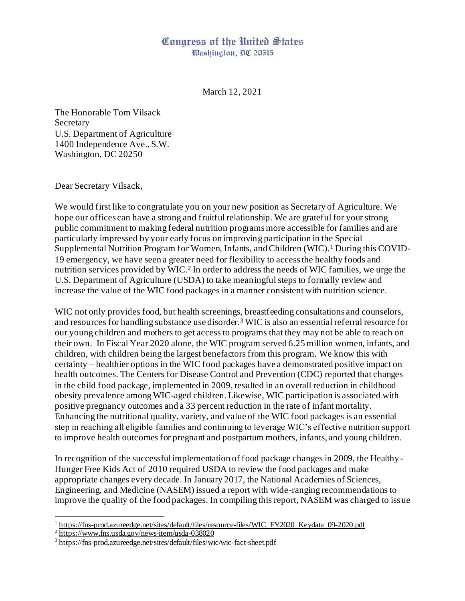## Congress of the United States

Washington, DC 20515

March 12, 2021

The Honorable Tom Vilsack Secretary U.S. Department of Agriculture 1400 Independence Ave., S.W. Washington, DC 20250

Dear Secretary Vilsack,

We would first like to congratulate you on your new position as Secretary of Agriculture. We hope our offices can have a strong and fruitful relationship. We are grateful for your strong public commitment to making federal nutrition programs more accessible for families and are particularly impressed by your early focus on improving participation in the Special Supplemental Nutrition Program for Women, Infants, and Children (WIC).<sup>1</sup> During this COVID-19 emergency, we have seen a greater need for flexibility to access the healthy foods and nutrition services provided by WIC.<sup>2</sup> In order to address the needs of WIC families, we urge the U.S. Department of Agriculture (USDA) to take meaningful steps to formally review and increase the value of the WIC food packages in a manner consistent with nutrition science.

WIC not only provides food, but health screenings, breastfeeding consultations and counselors, and resources for handling substance use disorder.<sup>3</sup> WIC is also an essential referral resource for our young children and mothers to get access to programs that they may not be able to reach on their own. In Fiscal Year 2020 alone, the WIC program served 6.25 million women, infants, and children, with children being the largest benefactors from this program. We know this with certainty – healthier options in the WIC food packages have a demonstrated positive impact on health outcomes. The Centers for Disease Control and Prevention (CDC) reported that changes in the child food package, implemented in 2009, resulted in an overall reduction in childhood obesity prevalence among WIC-aged children. Likewise, WIC participation is associated with positive pregnancy outcomes and a 33 percent reduction in the rate of infant mortality. Enhancing the nutritional quality, variety, and value of the WIC food packages is an essential step in reaching all eligible families and continuing to leverage WIC's effective nutrition support to improve health outcomes for pregnant and postpartum mothers, infants, and young children.

In recognition of the successful implementation of food package changes in 2009, the Healthy-Hunger Free Kids Act of 2010 required USDA to review the food packages and make appropriate changes every decade. In January 2017, the National Academies of Sciences, Engineering, and Medicine (NASEM) issued a report with wide-ranging recommendations to improve the quality of the food packages. In compiling this report, NASEM was charged to issue

<sup>&</sup>lt;sup>1</sup> [https://fns-prod.azureedge.net/sites/default/files/resource-files/WIC\\_FY2020\\_Keydata\\_09-2020.pdf](https://fns-prod.azureedge.net/sites/default/files/resource-files/WIC_FY2020_Keydata_09-2020.pdf)

<sup>&</sup>lt;sup>2</sup> <https://www.fns.usda.gov/news-item/usda-038020>

<sup>&</sup>lt;sup>3</sup> <https://fns-prod.azureedge.net/sites/default/files/wic/wic-fact-sheet.pdf>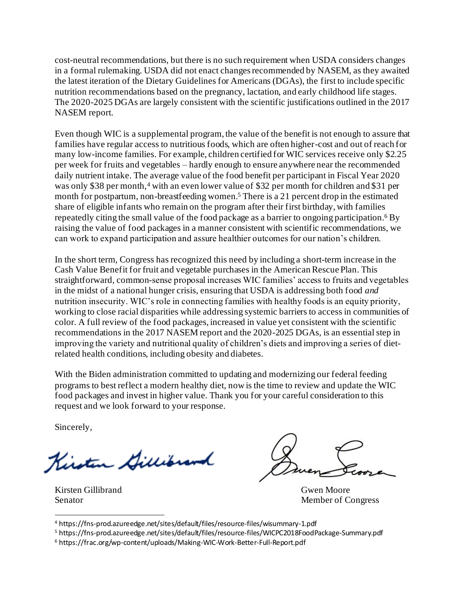cost-neutral recommendations, but there is no such requirement when USDA considers changes in a formal rulemaking. USDA did not enact changes recommended by NASEM, as they awaited the latest iteration of the Dietary Guidelines for Americans (DGAs), the first to include specific nutrition recommendations based on the pregnancy, lactation, and early childhood life stages. The 2020-2025 DGAs are largely consistent with the scientific justifications outlined in the 2017 NASEM report.

Even though WIC is a supplemental program, the value of the benefit is not enough to assure that families have regular access to nutritious foods, which are often higher-cost and out of reach for many low-income families. For example, children certified for WIC services receive only \$2.25 per week for fruits and vegetables – hardly enough to ensure anywhere near the recommended daily nutrient intake. The average value of the food benefit per participant in Fiscal Year 2020 was only \$38 per month,<sup>4</sup> with an even lower value of \$32 per month for children and \$31 per month for postpartum, non-breastfeeding women.<sup>5</sup> There is a 21 percent drop in the estimated share of eligible infants who remain on the program after their first birthday, with families repeatedly citing the small value of the food package as a barrier to ongoing participation.<sup>6</sup> By raising the value of food packages in a manner consistent with scientific recommendations, we can work to expand participation and assure healthier outcomes for our nation's children.

In the short term, Congress has recognized this need by including a short-term increase in the Cash Value Benefit for fruit and vegetable purchases in the American Rescue Plan. This straightforward, common-sense proposal increases WIC families' access to fruits and vegetables in the midst of a national hunger crisis, ensuring that USDA is addressing both food *and*  nutrition insecurity. WIC's role in connecting families with healthy foods is an equity priority, working to close racial disparities while addressing systemic barriers to access in communities of color. A full review of the food packages, increased in value yet consistent with the scientific recommendations in the 2017 NASEM report and the 2020-2025 DGAs, is an essential step in improving the variety and nutritional quality of children's diets and improving a series of dietrelated health conditions, including obesity and diabetes.

With the Biden administration committed to updating and modernizing our federal feeding programs to best reflect a modern healthy diet, now is the time to review and update the WIC food packages and invest in higher value. Thank you for your careful consideration to this request and we look forward to your response.

Sincerely,

Kinsten Gillibrand

Kirsten Gillibrand Gwen Moore

Senator Member of Congress

<sup>4</sup> https://fns-prod.azureedge.net/sites/default/files/resource-files/wisummary-1.pdf

<sup>5</sup> https://fns-prod.azureedge.net/sites/default/files/resource-files/WICPC2018FoodPackage-Summary.pdf

<sup>6</sup> https://frac.org/wp-content/uploads/Making-WIC-Work-Better-Full-Report.pdf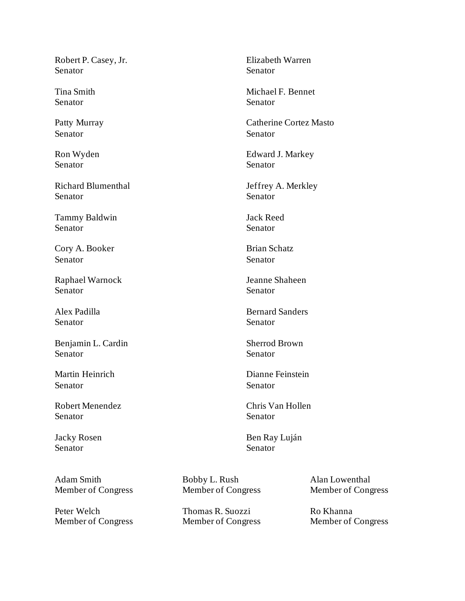Robert P. Casey, Jr. Senator

Tina Smith Senator

Patty Murray Senator

Ron Wyden Senator

Richard Blumenthal Senator

Tammy Baldwin Senator

Cory A. Booker Senator

Raphael Warnock Senator

Alex Padilla Senator

Benjamin L. Cardin Senator

Martin Heinrich Senator

Robert Menendez Senator

Jacky Rosen Senator

Adam Smith Member of Congress

Peter Welch Member of Congress Elizabeth Warren Senator

Michael F. Bennet Senator

Catherine Cortez Masto Senator

Edward J. Markey Senator

Jeffrey A. Merkley Senator

Jack Reed Senator

Brian Schatz Senator

Jeanne Shaheen Senator

Bernard Sanders Senator

Sherrod Brown Senator

Dianne Feinstein Senator

Chris Van Hollen Senator

Ben Ray Luján Senator

Bobby L. Rush Member of Congress

Thomas R. Suozzi Member of Congress

Alan Lowenthal Member of Congress

Ro Khanna Member of Congress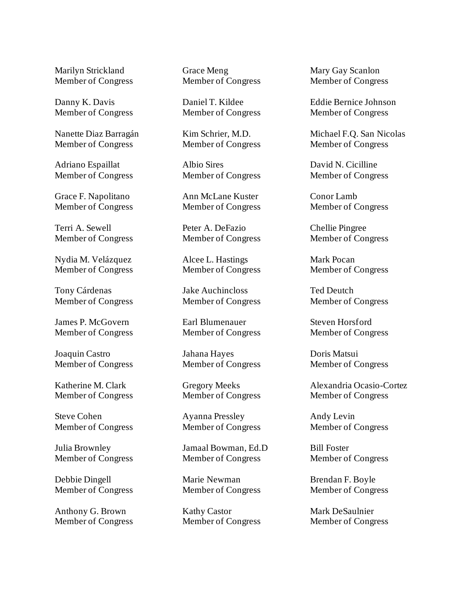Marilyn Strickland Member of Congress

Danny K. Davis Member of Congress

Nanette Diaz Barragán Member of Congress

Adriano Espaillat Member of Congress

Grace F. Napolitano Member of Congress

Terri A. Sewell Member of Congress

Nydia M. Velázquez Member of Congress

Tony Cárdenas Member of Congress

James P. McGovern Member of Congress

Joaquin Castro Member of Congress

Katherine M. Clark Member of Congress

Steve Cohen Member of Congress

Julia Brownley Member of Congress

Debbie Dingell Member of Congress

Anthony G. Brown Member of Congress Grace Meng Member of Congress

Daniel T. Kildee Member of Congress

Kim Schrier, M.D. Member of Congress

Albio Sires Member of Congress

Ann McLane Kuster Member of Congress

Peter A. DeFazio Member of Congress

Alcee L. Hastings Member of Congress

Jake Auchincloss Member of Congress

Earl Blumenauer Member of Congress

Jahana Hayes Member of Congress

Gregory Meeks Member of Congress

Ayanna Pressley Member of Congress

Jamaal Bowman, Ed.D Member of Congress

Marie Newman Member of Congress

Kathy Castor Member of Congress Mary Gay Scanlon Member of Congress

Eddie Bernice Johnson Member of Congress

Michael F.Q. San Nicolas Member of Congress

David N. Cicilline Member of Congress

Conor Lamb Member of Congress

Chellie Pingree Member of Congress

Mark Pocan Member of Congress

Ted Deutch Member of Congress

Steven Horsford Member of Congress

Doris Matsui Member of Congress

Alexandria Ocasio-Cortez Member of Congress

Andy Levin Member of Congress

Bill Foster Member of Congress

Brendan F. Boyle Member of Congress

Mark DeSaulnier Member of Congress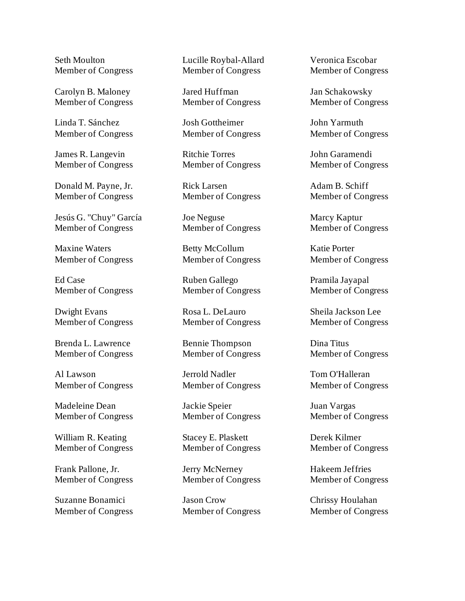Seth Moulton Member of Congress

Carolyn B. Maloney Member of Congress

Linda T. Sánchez Member of Congress

James R. Langevin Member of Congress

Donald M. Payne, Jr. Member of Congress

Jesús G. "Chuy" García Member of Congress

Maxine Waters Member of Congress

Ed Case Member of Congress

Dwight Evans Member of Congress

Brenda L. Lawrence Member of Congress

Al Lawson Member of Congress

Madeleine Dean Member of Congress

William R. Keating Member of Congress

Frank Pallone, Jr. Member of Congress

Suzanne Bonamici Member of Congress Lucille Roybal-Allard Member of Congress

Jared Huffman Member of Congress

Josh Gottheimer Member of Congress

Ritchie Torres Member of Congress

Rick Larsen Member of Congress

Joe Neguse Member of Congress

Betty McCollum Member of Congress

Ruben Gallego Member of Congress

Rosa L. DeLauro Member of Congress

Bennie Thompson Member of Congress

Jerrold Nadler Member of Congress

Jackie Speier Member of Congress

Stacey E. Plaskett Member of Congress

Jerry McNerney Member of Congress

Jason Crow Member of Congress Veronica Escobar Member of Congress

Jan Schakowsky Member of Congress

John Yarmuth Member of Congress

John Garamendi Member of Congress

Adam B. Schiff Member of Congress

Marcy Kaptur Member of Congress

Katie Porter Member of Congress

Pramila Jayapal Member of Congress

Sheila Jackson Lee Member of Congress

Dina Titus Member of Congress

Tom O'Halleran Member of Congress

Juan Vargas Member of Congress

Derek Kilmer Member of Congress

Hakeem Jeffries Member of Congress

Chrissy Houlahan Member of Congress